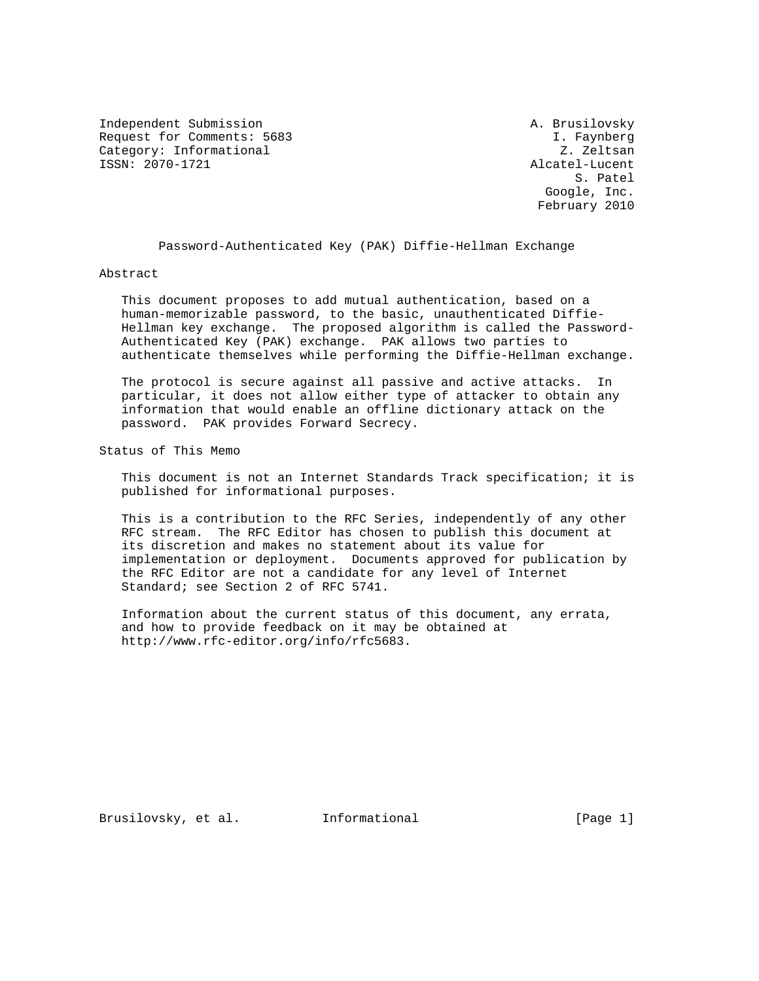Independent Submission **A. Brusilovsky** Request for Comments: 5683 I. Faynberg Category: Informational Z. Zeltsan ISSN: 2070-1721 Alcatel-Lucent

S. Patel and the state of the state of the state of the state of the state of the state of the state of the state of the state of the state of the state of the state of the state of the state of the state of the state of t Google, Inc. February 2010

Password-Authenticated Key (PAK) Diffie-Hellman Exchange

### Abstract

 This document proposes to add mutual authentication, based on a human-memorizable password, to the basic, unauthenticated Diffie- Hellman key exchange. The proposed algorithm is called the Password- Authenticated Key (PAK) exchange. PAK allows two parties to authenticate themselves while performing the Diffie-Hellman exchange.

 The protocol is secure against all passive and active attacks. In particular, it does not allow either type of attacker to obtain any information that would enable an offline dictionary attack on the password. PAK provides Forward Secrecy.

Status of This Memo

 This document is not an Internet Standards Track specification; it is published for informational purposes.

 This is a contribution to the RFC Series, independently of any other RFC stream. The RFC Editor has chosen to publish this document at its discretion and makes no statement about its value for implementation or deployment. Documents approved for publication by the RFC Editor are not a candidate for any level of Internet Standard; see Section 2 of RFC 5741.

 Information about the current status of this document, any errata, and how to provide feedback on it may be obtained at http://www.rfc-editor.org/info/rfc5683.

Brusilovsky, et al. Informational [Page 1]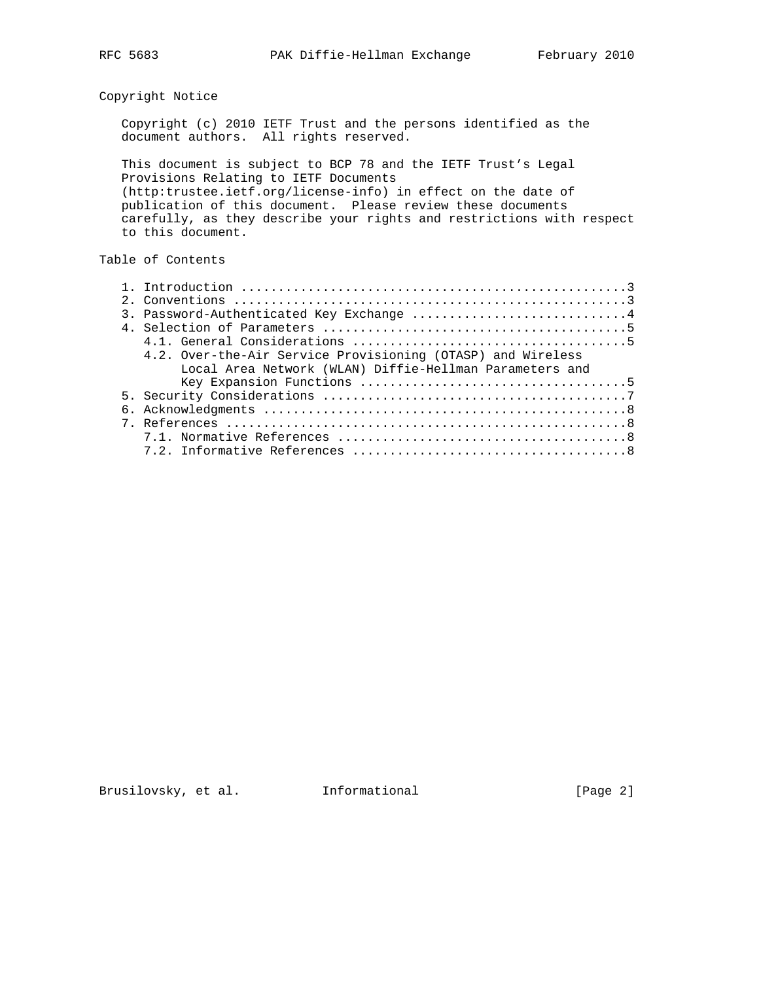## Copyright Notice

 Copyright (c) 2010 IETF Trust and the persons identified as the document authors. All rights reserved.

 This document is subject to BCP 78 and the IETF Trust's Legal Provisions Relating to IETF Documents (http:trustee.ietf.org/license-info) in effect on the date of publication of this document. Please review these documents carefully, as they describe your rights and restrictions with respect to this document.

## Table of Contents

|  | 3. Password-Authenticated Key Exchange 4                    |
|--|-------------------------------------------------------------|
|  |                                                             |
|  |                                                             |
|  | 4.2. Over-the-Air Service Provisioning (OTASP) and Wireless |
|  | Local Area Network (WLAN) Diffie-Hellman Parameters and     |
|  |                                                             |
|  |                                                             |
|  |                                                             |
|  |                                                             |
|  |                                                             |
|  |                                                             |
|  |                                                             |

Brusilovsky, et al. 1nformational 1999 [Page 2]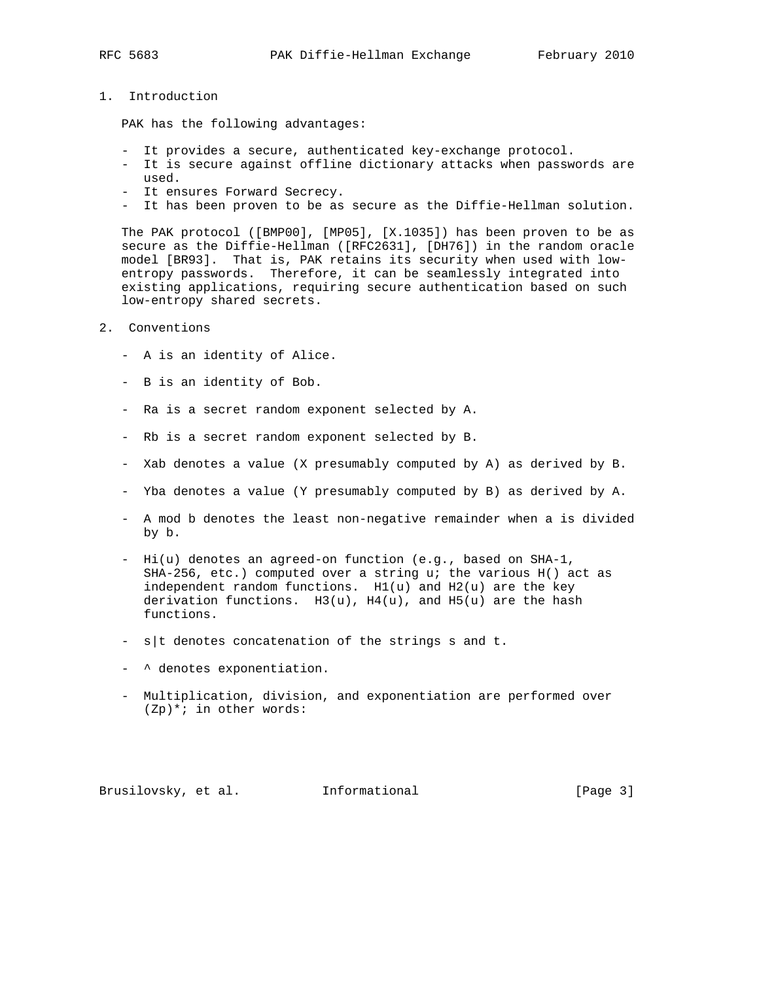1. Introduction

PAK has the following advantages:

- It provides a secure, authenticated key-exchange protocol.
- It is secure against offline dictionary attacks when passwords are used.
- It ensures Forward Secrecy.
- It has been proven to be as secure as the Diffie-Hellman solution.

 The PAK protocol ([BMP00], [MP05], [X.1035]) has been proven to be as secure as the Diffie-Hellman ([RFC2631], [DH76]) in the random oracle model [BR93]. That is, PAK retains its security when used with low entropy passwords. Therefore, it can be seamlessly integrated into existing applications, requiring secure authentication based on such low-entropy shared secrets.

- 2. Conventions
	- A is an identity of Alice.
	- B is an identity of Bob.
	- Ra is a secret random exponent selected by A.
	- Rb is a secret random exponent selected by B.
	- Xab denotes a value (X presumably computed by A) as derived by B.
	- Yba denotes a value (Y presumably computed by B) as derived by A.
	- A mod b denotes the least non-negative remainder when a is divided by b.
	- Hi(u) denotes an agreed-on function (e.g., based on SHA-1, SHA-256, etc.) computed over a string u; the various H() act as independent random functions. H1(u) and H2(u) are the key derivation functions.  $H3(u)$ ,  $H4(u)$ , and  $H5(u)$  are the hash functions.
	- s|t denotes concatenation of the strings s and t.
	- $\land$  denotes exponentiation.
	- Multiplication, division, and exponentiation are performed over (Zp)\*; in other words:

Brusilovsky, et al. Informational [Page 3]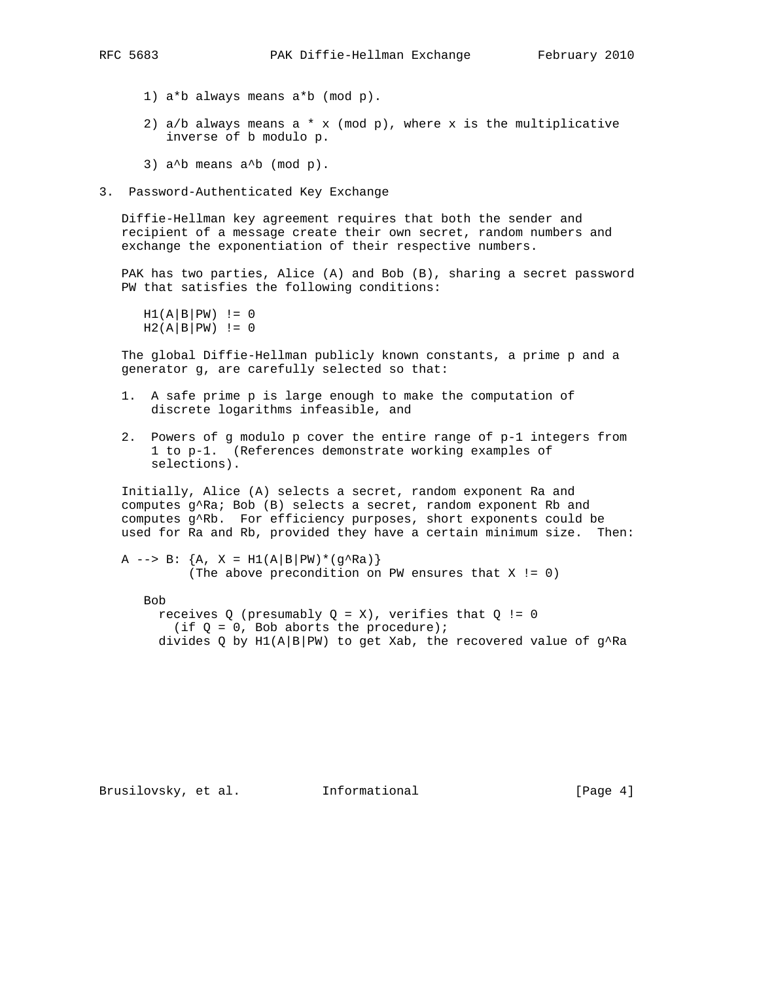- - 1) a\*b always means a\*b (mod p).
	- 2) a/b always means a  $*$  x (mod p), where x is the multiplicative inverse of b modulo p.
	- 3)  $a^b$  means  $a^b$  (mod p).
- 3. Password-Authenticated Key Exchange

 Diffie-Hellman key agreement requires that both the sender and recipient of a message create their own secret, random numbers and exchange the exponentiation of their respective numbers.

 PAK has two parties, Alice (A) and Bob (B), sharing a secret password PW that satisfies the following conditions:

 $H1(A|B|PW)$  != 0  $H2(A|B|PW)$  != 0

 The global Diffie-Hellman publicly known constants, a prime p and a generator g, are carefully selected so that:

- 1. A safe prime p is large enough to make the computation of discrete logarithms infeasible, and
- 2. Powers of g modulo p cover the entire range of p-1 integers from 1 to p-1. (References demonstrate working examples of selections).

 Initially, Alice (A) selects a secret, random exponent Ra and computes g^Ra; Bob (B) selects a secret, random exponent Rb and computes g^Rb. For efficiency purposes, short exponents could be used for Ra and Rb, provided they have a certain minimum size. Then:

```
A \left[-\right] B: \{A, X = H1(A|B|PW)*(g^RA)\} (The above precondition on PW ensures that X != 0)
```
Bob

```
receives Q (presumably Q = X), verifies that Q := 0(if Q = 0, Bob aborts the procedure);
divides Q by H1(A|B|PW) to get Xab, the recovered value of g^ARa
```
Brusilovsky, et al. Informational [Page 4]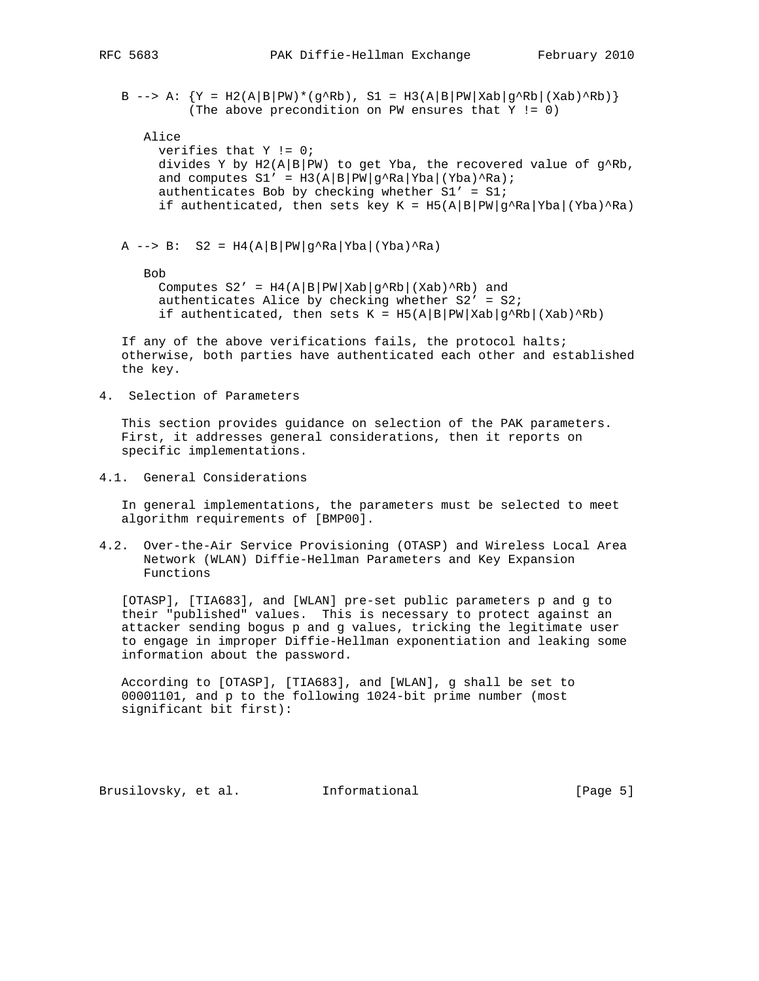B --> A:  ${Y = H2(A|B|PW)*(g^Rb), SI = H3(A|B|PW|Xab|g^Rb|(Xab)^Rb)}$ (The above precondition on PW ensures that Y != 0)

# Alice

```
 verifies that Y != 0;
divides Y by H2(A|B|PW) to get Yba, the recovered value of g^ARb,
and computes SI' = H3(A|B|PW|g^ARa|Yba|(Yba)^ARa);authenticates Bob by checking whether SI' = SI;
if authenticated, then sets key K = H5(A|B|PW|g^*Ra|Yba|(Yba)^*Ra)
```
A  $\leftarrow$  > B: S2 = H4(A|B|PW|g^Ra|Yba|(Yba)^Ra)

Bob

Computes  $S2' = H4(A|B|PW|Xab|g^RRb|(Xab)^Rb)$  and authenticates Alice by checking whether  $S2' = S2$ ; if authenticated, then sets  $K = H5(A|B|PW|Xab|g^RB|(Xab)^RB)$ 

 If any of the above verifications fails, the protocol halts; otherwise, both parties have authenticated each other and established the key.

4. Selection of Parameters

 This section provides guidance on selection of the PAK parameters. First, it addresses general considerations, then it reports on specific implementations.

4.1. General Considerations

 In general implementations, the parameters must be selected to meet algorithm requirements of [BMP00].

4.2. Over-the-Air Service Provisioning (OTASP) and Wireless Local Area Network (WLAN) Diffie-Hellman Parameters and Key Expansion Functions

 [OTASP], [TIA683], and [WLAN] pre-set public parameters p and g to their "published" values. This is necessary to protect against an attacker sending bogus p and g values, tricking the legitimate user to engage in improper Diffie-Hellman exponentiation and leaking some information about the password.

 According to [OTASP], [TIA683], and [WLAN], g shall be set to 00001101, and p to the following 1024-bit prime number (most significant bit first):

Brusilovsky, et al. Informational [Page 5]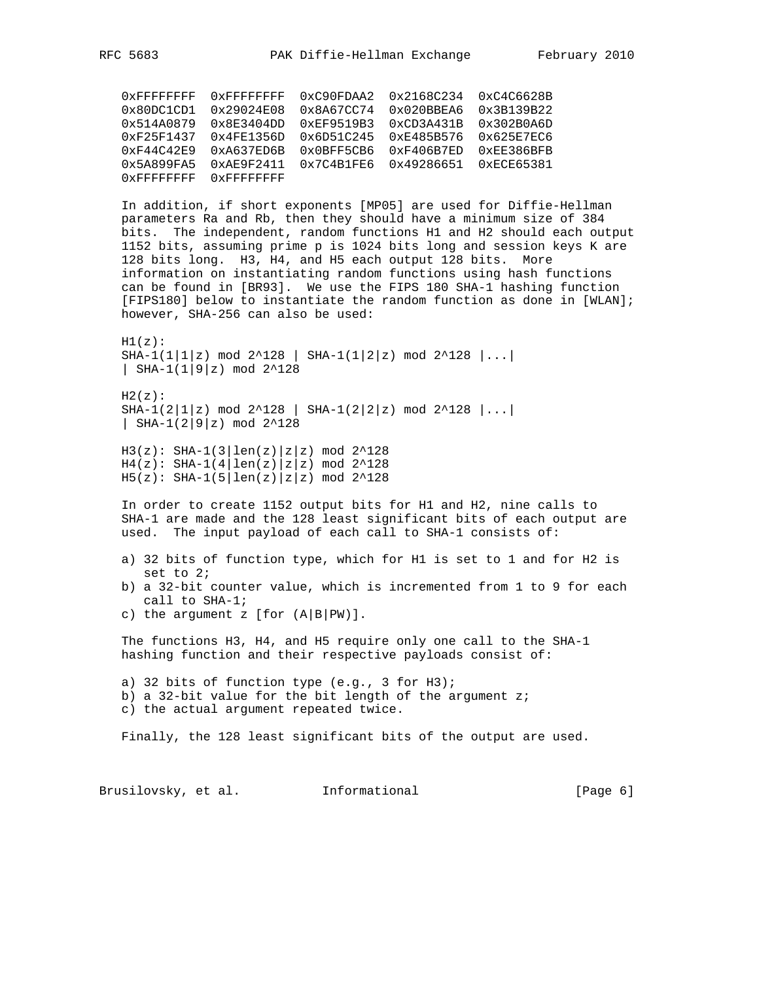0xFFFFFFFF 0xFFFFFFFF 0xC90FDAA2 0x2168C234 0xC4C6628B 0x80DC1CD1 0x29024E08 0x8A67CC74 0x020BBEA6 0x3B139B22 0x514A0879 0x8E3404DD 0xEF9519B3 0xCD3A431B 0x302B0A6D 0xF25F1437 0x4FE1356D 0x6D51C245 0xE485B576 0x625E7EC6 0xF44C42E9 0xA637ED6B 0x0BFF5CB6 0xF406B7ED 0xEE386BFB 0x5A899FA5 0xAE9F2411 0x7C4B1FE6 0x49286651 0xECE65381 0xFFFFFFFF 0xFFFFFFFF

 In addition, if short exponents [MP05] are used for Diffie-Hellman parameters Ra and Rb, then they should have a minimum size of 384 bits. The independent, random functions H1 and H2 should each output 1152 bits, assuming prime p is 1024 bits long and session keys K are 128 bits long. H3, H4, and H5 each output 128 bits. More information on instantiating random functions using hash functions can be found in [BR93]. We use the FIPS 180 SHA-1 hashing function [FIPS180] below to instantiate the random function as done in [WLAN]; however, SHA-256 can also be used:

 $H1(z)$ :  $SHA-1(1|1|z) \mod 2^2128$  |  $SHA-1(1|2|z) \mod 2^2128$  |... | SHA-1(1|9|z) mod 2^128

 $H2(z)$ : SHA-1(2|1|z) mod 2^128 | SHA-1(2|2|z) mod 2^128 |...| | SHA-1(2|9|z) mod 2^128

 $H3(z):$  SHA-1(3|len(z)|z|z) mod 2^128  $H4(z):$  SHA-1(4 | len(z) | z | z) mod 2^128  $H5(z):$  SHA-1(5|len(z)|z|z) mod 2^128

 In order to create 1152 output bits for H1 and H2, nine calls to SHA-1 are made and the 128 least significant bits of each output are used. The input payload of each call to SHA-1 consists of:

- a) 32 bits of function type, which for H1 is set to 1 and for H2 is set to 2;
- b) a 32-bit counter value, which is incremented from 1 to 9 for each call to SHA-1;
- c) the argument  $z$  [for  $(A|B|PW)$ ].

 The functions H3, H4, and H5 require only one call to the SHA-1 hashing function and their respective payloads consist of:

 a) 32 bits of function type (e.g., 3 for H3); b) a 32-bit value for the bit length of the argument  $zi$ c) the actual argument repeated twice.

Finally, the 128 least significant bits of the output are used.

Brusilovsky, et al. Informational [Page 6]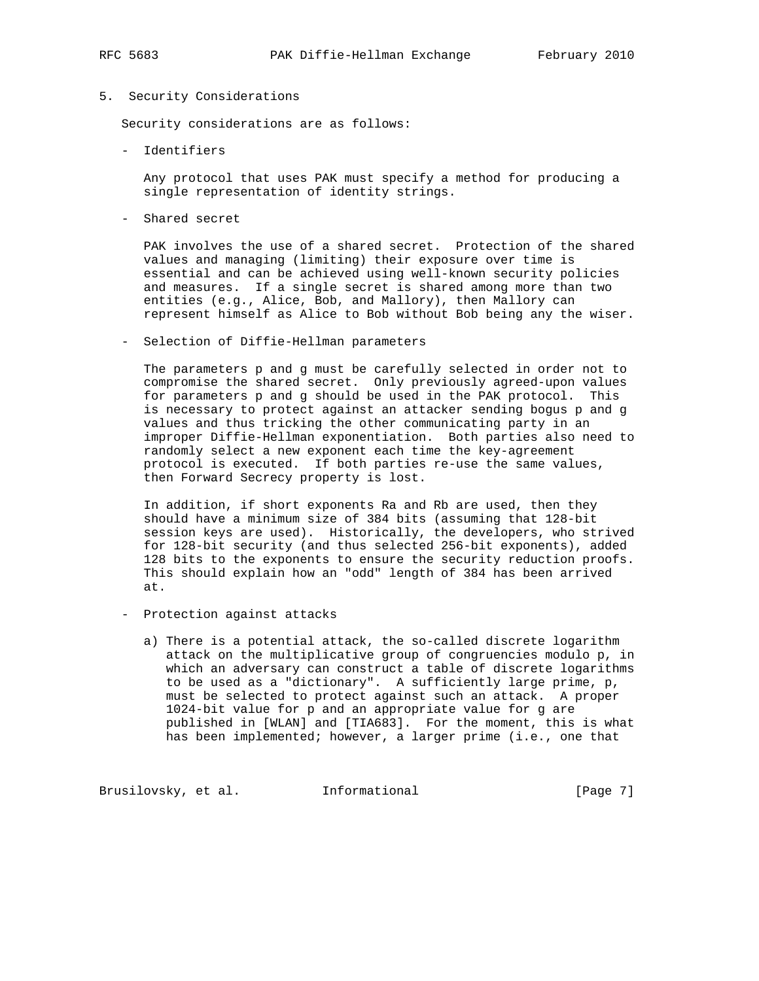## 5. Security Considerations

Security considerations are as follows:

- Identifiers

 Any protocol that uses PAK must specify a method for producing a single representation of identity strings.

- Shared secret

 PAK involves the use of a shared secret. Protection of the shared values and managing (limiting) their exposure over time is essential and can be achieved using well-known security policies and measures. If a single secret is shared among more than two entities (e.g., Alice, Bob, and Mallory), then Mallory can represent himself as Alice to Bob without Bob being any the wiser.

- Selection of Diffie-Hellman parameters

 The parameters p and g must be carefully selected in order not to compromise the shared secret. Only previously agreed-upon values for parameters p and g should be used in the PAK protocol. This is necessary to protect against an attacker sending bogus p and g values and thus tricking the other communicating party in an improper Diffie-Hellman exponentiation. Both parties also need to randomly select a new exponent each time the key-agreement protocol is executed. If both parties re-use the same values, then Forward Secrecy property is lost.

 In addition, if short exponents Ra and Rb are used, then they should have a minimum size of 384 bits (assuming that 128-bit session keys are used). Historically, the developers, who strived for 128-bit security (and thus selected 256-bit exponents), added 128 bits to the exponents to ensure the security reduction proofs. This should explain how an "odd" length of 384 has been arrived at.

- Protection against attacks
	- a) There is a potential attack, the so-called discrete logarithm attack on the multiplicative group of congruencies modulo p, in which an adversary can construct a table of discrete logarithms to be used as a "dictionary". A sufficiently large prime, p, must be selected to protect against such an attack. A proper 1024-bit value for p and an appropriate value for g are published in [WLAN] and [TIA683]. For the moment, this is what has been implemented; however, a larger prime (i.e., one that

Brusilovsky, et al. Informational [Page 7]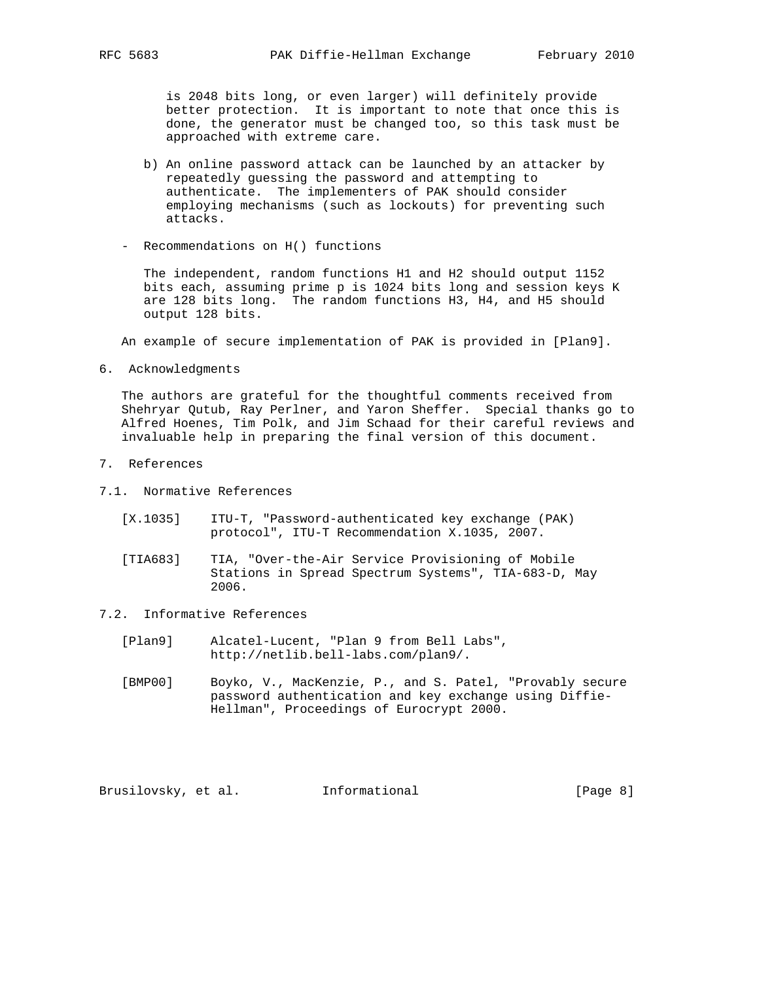is 2048 bits long, or even larger) will definitely provide better protection. It is important to note that once this is done, the generator must be changed too, so this task must be approached with extreme care.

- b) An online password attack can be launched by an attacker by repeatedly guessing the password and attempting to authenticate. The implementers of PAK should consider employing mechanisms (such as lockouts) for preventing such attacks.
- Recommendations on H() functions

 The independent, random functions H1 and H2 should output 1152 bits each, assuming prime p is 1024 bits long and session keys K are 128 bits long. The random functions H3, H4, and H5 should output 128 bits.

An example of secure implementation of PAK is provided in [Plan9].

6. Acknowledgments

 The authors are grateful for the thoughtful comments received from Shehryar Qutub, Ray Perlner, and Yaron Sheffer. Special thanks go to Alfred Hoenes, Tim Polk, and Jim Schaad for their careful reviews and invaluable help in preparing the final version of this document.

- 7. References
- 7.1. Normative References
	- [X.1035] ITU-T, "Password-authenticated key exchange (PAK) protocol", ITU-T Recommendation X.1035, 2007.
	- [TIA683] TIA, "Over-the-Air Service Provisioning of Mobile Stations in Spread Spectrum Systems", TIA-683-D, May 2006.
- 7.2. Informative References
	- [Plan9] Alcatel-Lucent, "Plan 9 from Bell Labs", http://netlib.bell-labs.com/plan9/.
	- [BMP00] Boyko, V., MacKenzie, P., and S. Patel, "Provably secure password authentication and key exchange using Diffie- Hellman", Proceedings of Eurocrypt 2000.

Brusilovsky, et al. Informational [Page 8]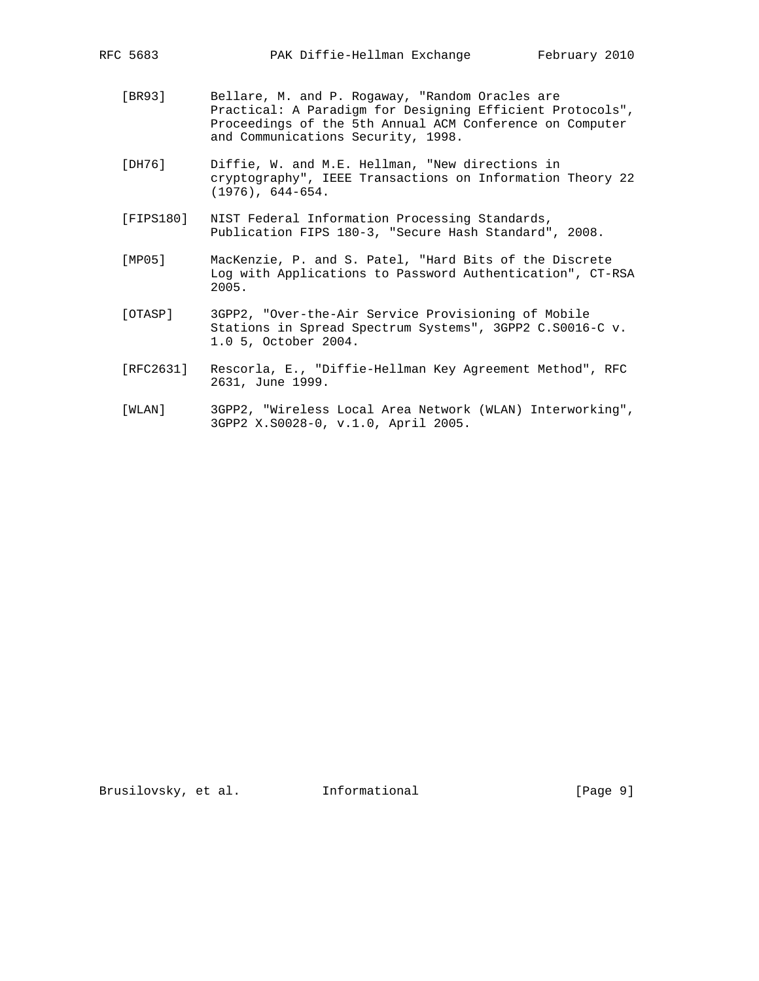- [BR93] Bellare, M. and P. Rogaway, "Random Oracles are Practical: A Paradigm for Designing Efficient Protocols", Proceedings of the 5th Annual ACM Conference on Computer and Communications Security, 1998.
- [DH76] Diffie, W. and M.E. Hellman, "New directions in cryptography", IEEE Transactions on Information Theory 22 (1976), 644-654.
- [FIPS180] NIST Federal Information Processing Standards, Publication FIPS 180-3, "Secure Hash Standard", 2008.
- [MP05] MacKenzie, P. and S. Patel, "Hard Bits of the Discrete Log with Applications to Password Authentication", CT-RSA 2005.
- [OTASP] 3GPP2, "Over-the-Air Service Provisioning of Mobile Stations in Spread Spectrum Systems", 3GPP2 C.S0016-C v. 1.0 5, October 2004.
- [RFC2631] Rescorla, E., "Diffie-Hellman Key Agreement Method", RFC 2631, June 1999.
- [WLAN] 3GPP2, "Wireless Local Area Network (WLAN) Interworking", 3GPP2 X.S0028-0, v.1.0, April 2005.